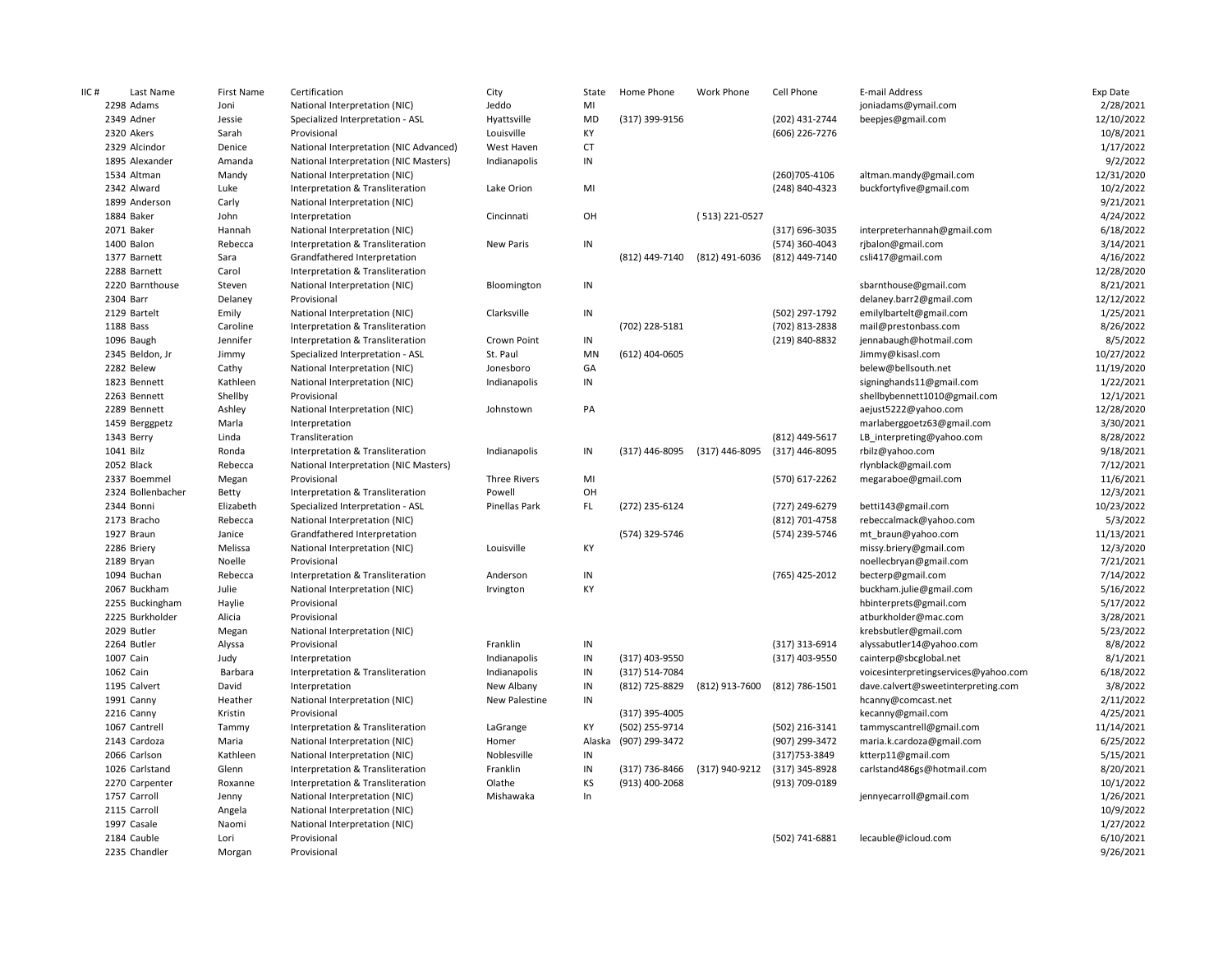| IIC# | Last Name         | First Name | Certification                          | City                | State     | Home Phone     | Work Phone     | Cell Phone     | E-mail Address                       | Exp Date   |
|------|-------------------|------------|----------------------------------------|---------------------|-----------|----------------|----------------|----------------|--------------------------------------|------------|
|      | 2298 Adams        | Joni       | National Interpretation (NIC)          | Jeddo               | MI        |                |                |                | joniadams@ymail.com                  | 2/28/2021  |
|      | 2349 Adner        | Jessie     | Specialized Interpretation - ASL       | Hyattsville         | <b>MD</b> | (317) 399-9156 |                | (202) 431-2744 | beepjes@gmail.com                    | 12/10/2022 |
|      | 2320 Akers        | Sarah      | Provisional                            | Louisville          | KY        |                |                | (606) 226-7276 |                                      | 10/8/2021  |
|      | 2329 Alcindor     | Denice     | National Interpretation (NIC Advanced) | West Haven          | <b>CT</b> |                |                |                |                                      | 1/17/2022  |
|      | 1895 Alexander    | Amanda     | National Interpretation (NIC Masters)  | Indianapolis        | $\sf IN$  |                |                |                |                                      | 9/2/2022   |
|      | 1534 Altman       | Mandy      | National Interpretation (NIC)          |                     |           |                |                | (260) 705-4106 | altman.mandy@gmail.com               | 12/31/2020 |
|      | 2342 Alward       | Luke       | Interpretation & Transliteration       | Lake Orion          | MI        |                |                | (248) 840-4323 | buckfortyfive@gmail.com              | 10/2/2022  |
|      | 1899 Anderson     | Carly      | National Interpretation (NIC)          |                     |           |                |                |                |                                      | 9/21/2021  |
|      | 1884 Baker        | John       | Interpretation                         | Cincinnati          | OH        |                | (513) 221-0527 |                |                                      | 4/24/2022  |
|      | 2071 Baker        | Hannah     | National Interpretation (NIC)          |                     |           |                |                | (317) 696-3035 | interpreterhannah@gmail.com          | 6/18/2022  |
|      | 1400 Balon        | Rebecca    | Interpretation & Transliteration       | New Paris           | $\sf IN$  |                |                | (574) 360-4043 | rjbalon@gmail.com                    | 3/14/2021  |
|      | 1377 Barnett      | Sara       | Grandfathered Interpretation           |                     |           | (812) 449-7140 | (812) 491-6036 | (812) 449-7140 | csli417@gmail.com                    | 4/16/2022  |
|      | 2288 Barnett      | Carol      | Interpretation & Transliteration       |                     |           |                |                |                |                                      | 12/28/2020 |
|      | 2220 Barnthouse   | Steven     | National Interpretation (NIC)          | Bloomington         | $\sf IN$  |                |                |                | sbarnthouse@gmail.com                | 8/21/2021  |
|      | 2304 Barr         | Delaney    | Provisional                            |                     |           |                |                |                | delaney.barr2@gmail.com              | 12/12/2022 |
|      | 2129 Bartelt      | Emily      | National Interpretation (NIC)          | Clarksville         | IN        |                |                | (502) 297-1792 | emilylbartelt@gmail.com              | 1/25/2021  |
|      | 1188 Bass         | Caroline   | Interpretation & Transliteration       |                     |           | (702) 228-5181 |                | (702) 813-2838 | mail@prestonbass.com                 | 8/26/2022  |
|      | 1096 Baugh        | Jennifer   | Interpretation & Transliteration       | Crown Point         | $\sf IN$  |                |                | (219) 840-8832 | jennabaugh@hotmail.com               | 8/5/2022   |
|      | 2345 Beldon, Jr   | Jimmy      | Specialized Interpretation - ASL       | St. Paul            | MN        | (612) 404-0605 |                |                | Jimmy@kisasl.com                     | 10/27/2022 |
|      | 2282 Belew        | Cathy      | National Interpretation (NIC)          | Jonesboro           | GA        |                |                |                | belew@bellsouth.net                  | 11/19/2020 |
|      | 1823 Bennett      | Kathleen   | National Interpretation (NIC)          | Indianapolis        | IN        |                |                |                | signinghands11@gmail.com             | 1/22/2021  |
|      | 2263 Bennett      | Shellby    | Provisional                            |                     |           |                |                |                | shellbybennett1010@gmail.com         | 12/1/2021  |
|      | 2289 Bennett      | Ashley     | National Interpretation (NIC)          | Johnstown           | PA        |                |                |                | aejust5222@yahoo.com                 | 12/28/2020 |
|      | 1459 Berggpetz    | Marla      | Interpretation                         |                     |           |                |                |                | marlaberggoetz63@gmail.com           | 3/30/2021  |
|      | 1343 Berry        | Linda      | Transliteration                        |                     |           |                |                | (812) 449-5617 | LB_interpreting@yahoo.com            | 8/28/2022  |
|      | 1041 Bilz         | Ronda      | Interpretation & Transliteration       | Indianapolis        | IN        | (317) 446-8095 | (317) 446-8095 | (317) 446-8095 | rbilz@yahoo.com                      | 9/18/2021  |
|      | 2052 Black        | Rebecca    | National Interpretation (NIC Masters)  |                     |           |                |                |                | rlynblack@gmail.com                  | 7/12/2021  |
|      | 2337 Boemmel      | Megan      | Provisional                            | <b>Three Rivers</b> | MI        |                |                | (570) 617-2262 | megaraboe@gmail.com                  | 11/6/2021  |
|      | 2324 Bollenbacher | Betty      | Interpretation & Transliteration       | Powell              | OH        |                |                |                |                                      | 12/3/2021  |
|      | 2344 Bonni        | Elizabeth  | Specialized Interpretation - ASL       | Pinellas Park       | FL        | (272) 235-6124 |                | (727) 249-6279 | betti143@gmail.com                   | 10/23/2022 |
|      | 2173 Bracho       | Rebecca    | National Interpretation (NIC)          |                     |           |                |                | (812) 701-4758 | rebeccalmack@yahoo.com               | 5/3/2022   |
|      | 1927 Braun        | Janice     | Grandfathered Interpretation           |                     |           | (574) 329-5746 |                | (574) 239-5746 | mt braun@yahoo.com                   | 11/13/2021 |
|      | 2286 Briery       | Melissa    | National Interpretation (NIC)          | Louisville          | KY        |                |                |                | missy.briery@gmail.com               | 12/3/2020  |
|      | 2189 Bryan        | Noelle     | Provisional                            |                     |           |                |                |                | noellecbryan@gmail.com               | 7/21/2021  |
|      | 1094 Buchan       | Rebecca    | Interpretation & Transliteration       | Anderson            | $\sf IN$  |                |                | (765) 425-2012 | becterp@gmail.com                    | 7/14/2022  |
|      | 2067 Buckham      | Julie      | National Interpretation (NIC)          | Irvington           | KY        |                |                |                | buckham.julie@gmail.com              | 5/16/2022  |
|      | 2255 Buckingham   | Haylie     | Provisional                            |                     |           |                |                |                | hbinterprets@gmail.com               | 5/17/2022  |
|      | 2225 Burkholder   | Alicia     | Provisional                            |                     |           |                |                |                | atburkholder@mac.com                 | 3/28/2021  |
|      | 2029 Butler       | Megan      | National Interpretation (NIC)          |                     |           |                |                |                | krebsbutler@gmail.com                | 5/23/2022  |
|      | 2264 Butler       | Alyssa     | Provisional                            | Franklin            | IN        |                |                | (317) 313-6914 | alyssabutler14@yahoo.com             | 8/8/2022   |
|      | 1007 Cain         | Judy       | Interpretation                         | Indianapolis        | IN        | (317) 403-9550 |                | (317) 403-9550 | cainterp@sbcglobal.net               | 8/1/2021   |
|      | 1062 Cain         | Barbara    | Interpretation & Transliteration       | Indianapolis        | IN        | (317) 514-7084 |                |                | voicesinterpretingservices@yahoo.com | 6/18/2022  |
|      | 1195 Calvert      | David      | Interpretation                         | New Albany          | IN        | (812) 725-8829 | (812) 913-7600 | (812) 786-1501 | dave.calvert@sweetinterpreting.com   | 3/8/2022   |
|      | 1991 Canny        | Heather    | National Interpretation (NIC)          | New Palestine       | $\sf IN$  |                |                |                | hcanny@comcast.net                   | 2/11/2022  |
|      | 2216 Canny        | Kristin    | Provisional                            |                     |           | (317) 395-4005 |                |                | kecanny@gmail.com                    | 4/25/2021  |
|      | 1067 Cantrell     | Tammy      | Interpretation & Transliteration       | LaGrange            | KY        | (502) 255-9714 |                | (502) 216-3141 | tammyscantrell@gmail.com             | 11/14/2021 |
|      | 2143 Cardoza      | Maria      | National Interpretation (NIC)          | Homer               | Alaska    | (907) 299-3472 |                | (907) 299-3472 | maria.k.cardoza@gmail.com            | 6/25/2022  |
|      | 2066 Carlson      | Kathleen   | National Interpretation (NIC)          | Noblesville         | IN        |                |                | (317) 753-3849 | ktterp11@gmail.com                   | 5/15/2021  |
|      | 1026 Carlstand    | Glenn      | Interpretation & Transliteration       | Franklin            | $\sf IN$  | (317) 736-8466 | (317) 940-9212 | (317) 345-8928 | carlstand486gs@hotmail.com           | 8/20/2021  |
|      | 2270 Carpenter    | Roxanne    | Interpretation & Transliteration       | Olathe              | KS        | (913) 400-2068 |                | (913) 709-0189 |                                      | 10/1/2022  |
|      | 1757 Carroll      | Jenny      | National Interpretation (NIC)          | Mishawaka           | In        |                |                |                | jennyecarroll@gmail.com              | 1/26/2021  |
|      | 2115 Carroll      | Angela     | National Interpretation (NIC)          |                     |           |                |                |                |                                      | 10/9/2022  |
|      | 1997 Casale       | Naomi      | National Interpretation (NIC)          |                     |           |                |                |                |                                      | 1/27/2022  |
|      | 2184 Cauble       | Lori       | Provisional                            |                     |           |                |                | (502) 741-6881 | lecauble@icloud.com                  | 6/10/2021  |
|      | 2235 Chandler     | Morgan     | Provisional                            |                     |           |                |                |                |                                      | 9/26/2021  |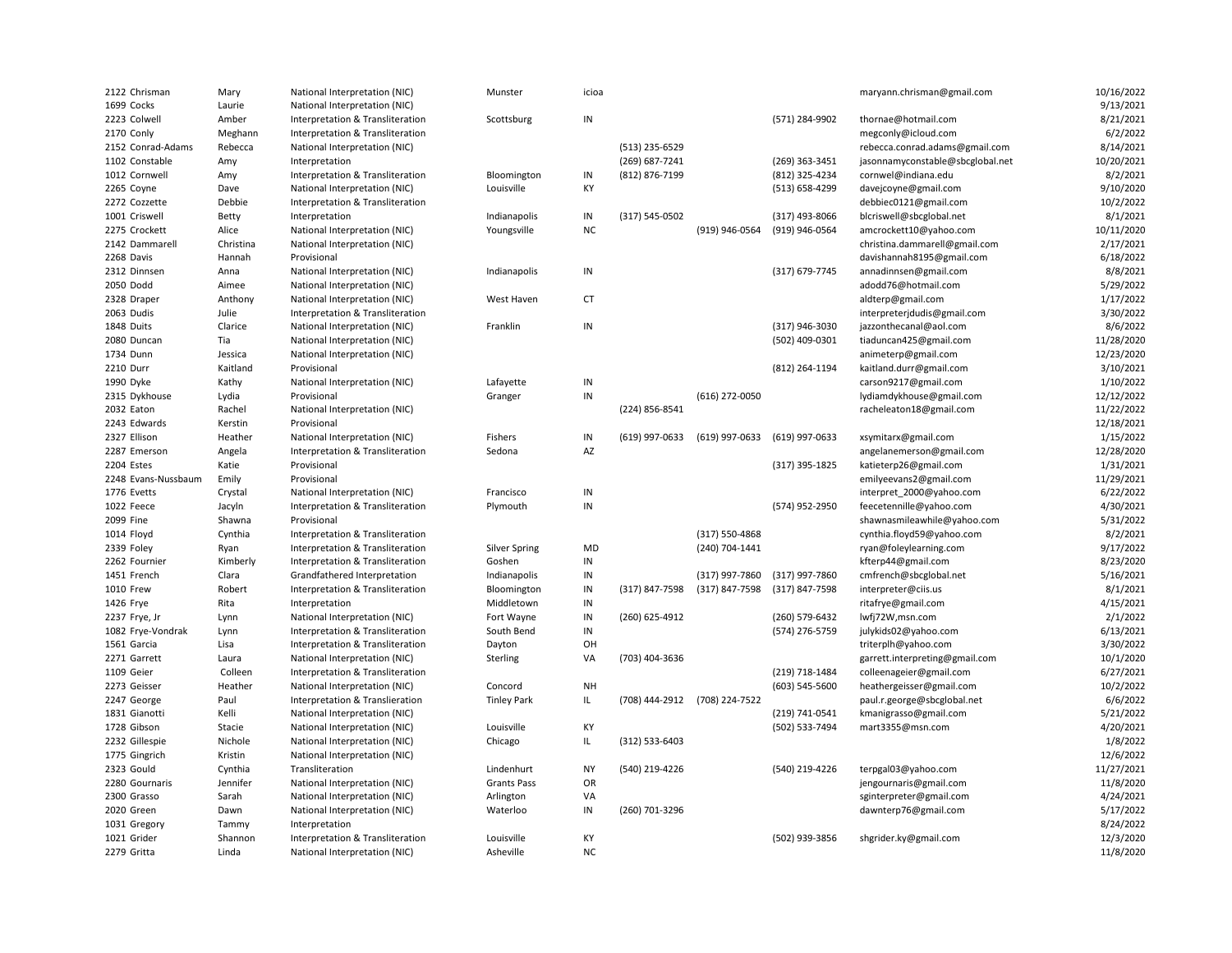| 2122 Chrisman       | Mary      | National Interpretation (NIC)                                     | Munster              | icioa         |                |                               |                | maryann.chrisman@gmail.com       | 10/16/2022             |
|---------------------|-----------|-------------------------------------------------------------------|----------------------|---------------|----------------|-------------------------------|----------------|----------------------------------|------------------------|
| 1699 Cocks          | Laurie    | National Interpretation (NIC)                                     |                      |               |                |                               |                |                                  | 9/13/2021              |
| 2223 Colwell        | Amber     | Interpretation & Transliteration                                  | Scottsburg           | $\sf IN$      |                |                               | (571) 284-9902 | thornae@hotmail.com              | 8/21/2021              |
| 2170 Conly          | Meghann   | Interpretation & Transliteration                                  |                      |               |                |                               |                | megconly@icloud.com              | 6/2/2022               |
| 2152 Conrad-Adams   | Rebecca   | National Interpretation (NIC)                                     |                      |               | (513) 235-6529 |                               |                | rebecca.conrad.adams@gmail.com   | 8/14/2021              |
| 1102 Constable      | Amy       | Interpretation                                                    |                      |               | (269) 687-7241 |                               | (269) 363-3451 | jasonnamyconstable@sbcglobal.net | 10/20/2021             |
| 1012 Cornwell       | Amy       | Interpretation & Transliteration                                  | Bloomington          | $\sf IN$      | (812) 876-7199 |                               | (812) 325-4234 | cornwel@indiana.edu              | 8/2/2021               |
| 2265 Coyne          | Dave      | National Interpretation (NIC)                                     | Louisville           | KY            |                |                               | (513) 658-4299 | davejcoyne@gmail.com             | 9/10/2020              |
| 2272 Cozzette       | Debbie    | Interpretation & Transliteration                                  |                      |               |                |                               |                | debbiec0121@gmail.com            | 10/2/2022              |
| 1001 Criswell       | Betty     | Interpretation                                                    | Indianapolis         | IN            | (317) 545-0502 |                               | (317) 493-8066 | blcriswell@sbcglobal.net         | 8/1/2021               |
| 2275 Crockett       | Alice     | National Interpretation (NIC)                                     | Youngsville          | <b>NC</b>     |                | (919) 946-0564                | (919) 946-0564 | amcrockett10@yahoo.com           | 10/11/2020             |
| 2142 Dammarell      | Christina | National Interpretation (NIC)                                     |                      |               |                |                               |                | christina.dammarell@gmail.com    | 2/17/2021              |
| 2268 Davis          | Hannah    | Provisional                                                       |                      |               |                |                               |                | davishannah8195@gmail.com        | 6/18/2022              |
| 2312 Dinnsen        | Anna      | National Interpretation (NIC)                                     | Indianapolis         | IN            |                |                               | (317) 679-7745 | annadinnsen@gmail.com            | 8/8/2021               |
| 2050 Dodd           | Aimee     | National Interpretation (NIC)                                     |                      |               |                |                               |                | adodd76@hotmail.com              | 5/29/2022              |
| 2328 Draper         | Anthony   | National Interpretation (NIC)                                     | West Haven           | <b>CT</b>     |                |                               |                | aldterp@gmail.com                | 1/17/2022              |
| 2063 Dudis          | Julie     | Interpretation & Transliteration                                  |                      |               |                |                               |                | interpreterjdudis@gmail.com      | 3/30/2022              |
| 1848 Duits          | Clarice   | National Interpretation (NIC)                                     | Franklin             | IN            |                |                               | (317) 946-3030 | jazzonthecanal@aol.com           | 8/6/2022               |
| 2080 Duncan         | Tia       | National Interpretation (NIC)                                     |                      |               |                |                               | (502) 409-0301 | tiaduncan425@gmail.com           | 11/28/2020             |
| 1734 Dunn           | Jessica   | National Interpretation (NIC)                                     |                      |               |                |                               |                | animeterp@gmail.com              | 12/23/2020             |
| 2210 Durr           | Kaitland  | Provisional                                                       |                      |               |                |                               | (812) 264-1194 | kaitland.durr@gmail.com          | 3/10/2021              |
| 1990 Dyke           | Kathy     | National Interpretation (NIC)                                     | Lafayette            | $\sf IN$      |                |                               |                | carson9217@gmail.com             | 1/10/2022              |
| 2315 Dykhouse       | Lydia     | Provisional                                                       | Granger              | IN            |                | (616) 272-0050                |                | lydiamdykhouse@gmail.com         | 12/12/2022             |
| 2032 Eaton          | Rachel    | National Interpretation (NIC)                                     |                      |               | (224) 856-8541 |                               |                | racheleaton18@gmail.com          | 11/22/2022             |
| 2243 Edwards        | Kerstin   | Provisional                                                       |                      |               |                |                               |                |                                  | 12/18/2021             |
| 2327 Ellison        | Heather   | National Interpretation (NIC)                                     | Fishers              | $\sf IN$      | (619) 997-0633 | (619) 997-0633                | (619) 997-0633 | xsymitarx@gmail.com              | 1/15/2022              |
| 2287 Emerson        | Angela    | Interpretation & Transliteration                                  | Sedona               | AZ            |                |                               |                | angelanemerson@gmail.com         | 12/28/2020             |
| 2204 Estes          | Katie     | Provisional                                                       |                      |               |                |                               | (317) 395-1825 | katieterp26@gmail.com            | 1/31/2021              |
| 2248 Evans-Nussbaum |           | Provisional                                                       |                      |               |                |                               |                | emilyeevans2@gmail.com           | 11/29/2021             |
| 1776 Evetts         | Emily     |                                                                   | Francisco            | IN            |                |                               |                |                                  |                        |
| 1022 Feece          | Crystal   | National Interpretation (NIC)<br>Interpretation & Transliteration | Plymouth             | IN            |                |                               | (574) 952-2950 | interpret_2000@yahoo.com         | 6/22/2022<br>4/30/2021 |
|                     | Jacyln    |                                                                   |                      |               |                |                               |                | feecetennille@yahoo.com          |                        |
| 2099 Fine           | Shawna    | Provisional                                                       |                      |               |                |                               |                | shawnasmileawhile@yahoo.com      | 5/31/2022              |
| 1014 Floyd          | Cynthia   | Interpretation & Transliteration                                  |                      |               |                | (317) 550-4868                |                | cynthia.floyd59@yahoo.com        | 8/2/2021               |
| 2339 Foley          | Ryan      | Interpretation & Transliteration                                  | <b>Silver Spring</b> | MD            |                | (240) 704-1441                |                | ryan@foleylearning.com           | 9/17/2022              |
| 2262 Fournier       | Kimberly  | Interpretation & Transliteration                                  | Goshen               | IN            |                |                               |                | kfterp44@gmail.com               | 8/23/2020              |
| 1451 French         | Clara     | Grandfathered Interpretation                                      | Indianapolis         | IN            |                | (317) 997-7860                | (317) 997-7860 | cmfrench@sbcglobal.net           | 5/16/2021              |
| 1010 Frew           | Robert    | Interpretation & Transliteration                                  | Bloomington          | IN            | (317) 847-7598 | (317) 847-7598                | (317) 847-7598 | interpreter@ciis.us              | 8/1/2021               |
| 1426 Frye           | Rita      | Interpretation                                                    | Middletown           | IN            |                |                               |                | ritafrye@gmail.com               | 4/15/2021              |
| 2237 Frye, Jr       | Lynn      | National Interpretation (NIC)                                     | Fort Wayne           | IN            | (260) 625-4912 |                               | (260) 579-6432 | lwfj72W,msn.com                  | 2/1/2022               |
| 1082 Frye-Vondrak   | Lynn      | Interpretation & Transliteration                                  | South Bend           | IN            |                |                               | (574) 276-5759 | julykids02@yahoo.com             | 6/13/2021              |
| 1561 Garcia         | Lisa      | Interpretation & Transliteration                                  | Dayton               | OH            |                |                               |                | triterplh@yahoo.com              | 3/30/2022              |
| 2271 Garrett        | Laura     | National Interpretation (NIC)                                     | Sterling             | VA            | (703) 404-3636 |                               |                | garrett.interpreting@gmail.com   | 10/1/2020              |
| 1109 Geier          | Colleen   | Interpretation & Transliteration                                  |                      |               |                |                               | (219) 718-1484 | colleenageier@gmail.com          | 6/27/2021              |
| 2273 Geisser        | Heather   | National Interpretation (NIC)                                     | Concord              | <b>NH</b>     |                |                               | (603) 545-5600 | heathergeisser@gmail.com         | 10/2/2022              |
| 2247 George         | Paul      | Interpretation & Translieration                                   | <b>Tinley Park</b>   | $\mathsf{IL}$ |                | (708) 444-2912 (708) 224-7522 |                | paul.r.george@sbcglobal.net      | 6/6/2022               |
| 1831 Gianotti       | Kelli     | National Interpretation (NIC)                                     |                      |               |                |                               | (219) 741-0541 | kmanigrasso@gmail.com            | 5/21/2022              |
| 1728 Gibson         | Stacie    | National Interpretation (NIC)                                     | Louisville           | KY            |                |                               | (502) 533-7494 | mart3355@msn.com                 | 4/20/2021              |
| 2232 Gillespie      | Nichole   | National Interpretation (NIC)                                     | Chicago              | $\mathsf{IL}$ | (312) 533-6403 |                               |                |                                  | 1/8/2022               |
| 1775 Gingrich       | Kristin   | National Interpretation (NIC)                                     |                      |               |                |                               |                |                                  | 12/6/2022              |
| 2323 Gould          | Cynthia   | Transliteration                                                   | Lindenhurt           | <b>NY</b>     | (540) 219-4226 |                               | (540) 219-4226 | terpgal03@yahoo.com              | 11/27/2021             |
| 2280 Gournaris      | Jennifer  | National Interpretation (NIC)                                     | <b>Grants Pass</b>   | OR            |                |                               |                | jengournaris@gmail.com           | 11/8/2020              |
| 2300 Grasso         | Sarah     | National Interpretation (NIC)                                     | Arlington            | VA            |                |                               |                | sginterpreter@gmail.com          | 4/24/2021              |
| 2020 Green          | Dawn      | National Interpretation (NIC)                                     | Waterloo             | $\sf IN$      | (260) 701-3296 |                               |                | dawnterp76@gmail.com             | 5/17/2022              |
| 1031 Gregory        | Tammy     | Interpretation                                                    |                      |               |                |                               |                |                                  | 8/24/2022              |
| 1021 Grider         | Shannon   | Interpretation & Transliteration                                  | Louisville           | КY            |                |                               | (502) 939-3856 | shgrider.ky@gmail.com            | 12/3/2020              |
| 2279 Gritta         | Linda     | National Interpretation (NIC)                                     | Asheville            | <b>NC</b>     |                |                               |                |                                  | 11/8/2020              |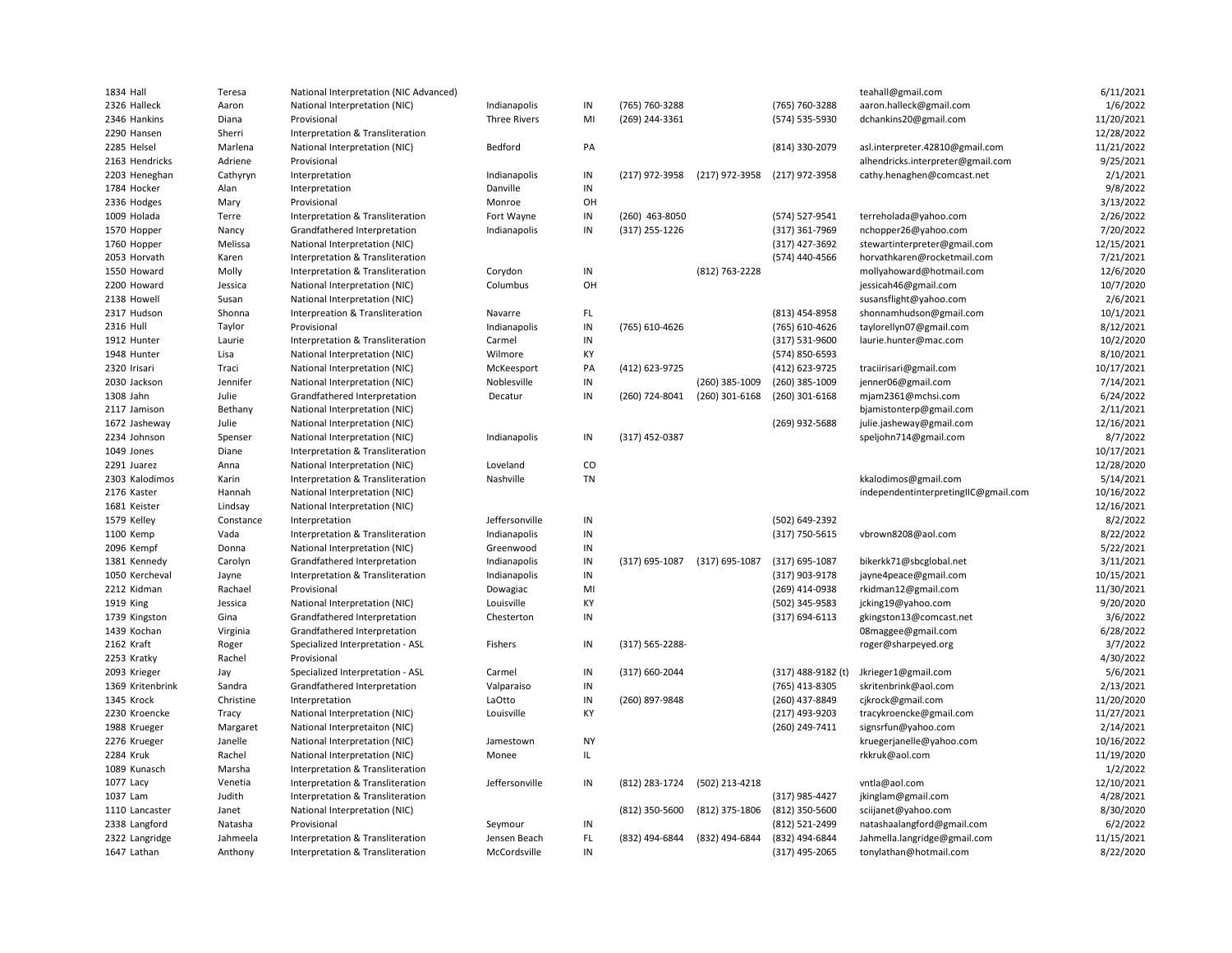| 1834 Hall                      | Teresa          | National Interpretation (NIC Advanced) |                     |                |                  |                  |                                      | teahall@gmail.com                           | 6/11/2021             |
|--------------------------------|-----------------|----------------------------------------|---------------------|----------------|------------------|------------------|--------------------------------------|---------------------------------------------|-----------------------|
| 2326 Halleck                   | Aaron           | National Interpretation (NIC)          | Indianapolis        | IN             | (765) 760-3288   |                  | (765) 760-3288                       | aaron.halleck@gmail.com                     | 1/6/2022              |
| 2346 Hankins                   | Diana           | Provisional                            | <b>Three Rivers</b> | MI             | (269) 244-3361   |                  | (574) 535-5930                       | dchankins20@gmail.com                       | 11/20/2021            |
| 2290 Hansen                    | Sherri          | Interpretation & Transliteration       |                     |                |                  |                  |                                      |                                             | 12/28/2022            |
| 2285 Helsel                    | Marlena         | National Interpretation (NIC)          | Bedford             | PA             |                  |                  | (814) 330-2079                       | asl.interpreter.42810@gmail.com             | 11/21/2022            |
| 2163 Hendricks                 | Adriene         | Provisional                            |                     |                |                  |                  |                                      | alhendricks.interpreter@gmail.com           | 9/25/2021             |
| 2203 Heneghan                  | Cathyryn        | Interpretation                         | Indianapolis        | $\sf IN$       | (217) 972-3958   | (217) 972-3958   | (217) 972-3958                       | cathy.henaghen@comcast.net                  | 2/1/2021              |
| 1784 Hocker                    | Alan            | Interpretation                         | Danville            | $\sf IN$       |                  |                  |                                      |                                             | 9/8/2022              |
| 2336 Hodges                    | Mary            | Provisional                            | Monroe              | OH             |                  |                  |                                      |                                             | 3/13/2022             |
| 1009 Holada                    | Terre           | Interpretation & Transliteration       | Fort Wayne          | IN             | (260) 463-8050   |                  | (574) 527-9541                       | terreholada@yahoo.com                       | 2/26/2022             |
| 1570 Hopper                    | Nancy           | Grandfathered Interpretation           | Indianapolis        | IN             | $(317)$ 255-1226 |                  | (317) 361-7969                       | nchopper26@yahoo.com                        | 7/20/2022             |
| 1760 Hopper                    | Melissa         | National Interpretation (NIC)          |                     |                |                  |                  | (317) 427-3692                       | stewartinterpreter@gmail.com                | 12/15/2021            |
| 2053 Horvath                   | Karen           | Interpretation & Transliteration       |                     |                |                  |                  | (574) 440-4566                       | horvathkaren@rocketmail.com                 | 7/21/2021             |
| 1550 Howard                    | Molly           | Interpretation & Transliteration       | Corydon             | IN             |                  | (812) 763-2228   |                                      | mollyahoward@hotmail.com                    | 12/6/2020             |
| 2200 Howard                    | Jessica         | National Interpretation (NIC)          | Columbus            | OH             |                  |                  |                                      | jessicah46@gmail.com                        | 10/7/2020             |
| 2138 Howell                    | Susan           | National Interpretation (NIC)          |                     |                |                  |                  |                                      | susansflight@yahoo.com                      | 2/6/2021              |
| 2317 Hudson                    | Shonna          | Interpreation & Transliteration        | Navarre             | FL.            |                  |                  | (813) 454-8958                       | shonnamhudson@gmail.com                     | 10/1/2021             |
| 2316 Hull                      | Taylor          | Provisional                            | Indianapolis        | IN             | (765) 610-4626   |                  | (765) 610-4626                       | taylorellyn07@gmail.com                     | 8/12/2021             |
| 1912 Hunter                    | Laurie          | Interpretation & Transliteration       | Carmel              | IN             |                  |                  | (317) 531-9600                       | laurie.hunter@mac.com                       | 10/2/2020             |
| 1948 Hunter                    | Lisa            | National Interpretation (NIC)          | Wilmore             | KY             |                  |                  | (574) 850-6593                       |                                             | 8/10/2021             |
| 2320 Irisari                   | Traci           | National Interpretation (NIC)          | McKeesport          | PA             | (412) 623-9725   |                  | (412) 623-9725                       | traciirisari@gmail.com                      | 10/17/2021            |
| 2030 Jackson                   | Jennifer        | National Interpretation (NIC)          | Noblesville         | IN             |                  | (260) 385-1009   | (260) 385-1009                       | jenner06@gmail.com                          | 7/14/2021             |
| 1308 Jahn                      | Julie           | Grandfathered Interpretation           | Decatur             | IN             | (260) 724-8041   | (260) 301-6168   | (260) 301-6168                       | mjam2361@mchsi.com                          | 6/24/2022             |
| 2117 Jamison                   | Bethany         | National Interpretation (NIC)          |                     |                |                  |                  |                                      | bjamistonterp@gmail.com                     | 2/11/2021             |
| 1672 Jasheway                  | Julie           | National Interpretation (NIC)          |                     |                |                  |                  | (269) 932-5688                       | julie.jasheway@gmail.com                    | 12/16/2021            |
| 2234 Johnson                   | Spenser         | National Interpretation (NIC)          | Indianapolis        | IN             | (317) 452-0387   |                  |                                      | speljohn714@gmail.com                       | 8/7/2022              |
| 1049 Jones                     | Diane           | Interpretation & Transliteration       |                     |                |                  |                  |                                      |                                             | 10/17/2021            |
| 2291 Juarez                    | Anna            | National Interpretation (NIC)          | Loveland            | CO             |                  |                  |                                      |                                             | 12/28/2020            |
| 2303 Kalodimos                 | Karin           | Interpretation & Transliteration       | Nashville           | <b>TN</b>      |                  |                  |                                      | kkalodimos@gmail.com                        | 5/14/2021             |
| 2176 Kaster                    | Hannah          | National Interpretation (NIC)          |                     |                |                  |                  |                                      | independentinterpretingIIC@gmail.com        | 10/16/2022            |
| 1681 Keister                   | Lindsay         | National Interpretation (NIC)          |                     |                |                  |                  |                                      |                                             | 12/16/2021            |
| 1579 Kelley                    | Constance       | Interpretation                         | Jeffersonville      | IN             |                  |                  | (502) 649-2392                       |                                             | 8/2/2022              |
| 1100 Kemp                      | Vada            | Interpretation & Transliteration       | Indianapolis        | IN             |                  |                  | (317) 750-5615                       | vbrown8208@aol.com                          | 8/22/2022             |
| 2096 Kempf                     | Donna           | National Interpretation (NIC)          | Greenwood           | IN             |                  |                  |                                      |                                             | 5/22/2021             |
| 1381 Kennedy                   | Carolyn         | Grandfathered Interpretation           | Indianapolis        | IN             | (317) 695-1087   | $(317)$ 695-1087 | $(317)$ 695-1087                     | bikerkk71@sbcglobal.net                     | 3/11/2021             |
| 1050 Kercheval                 | Jayne           | Interpretation & Transliteration       | Indianapolis        | IN             |                  |                  | (317) 903-9178                       | jayne4peace@gmail.com                       | 10/15/2021            |
| 2212 Kidman                    | Rachael         | Provisional                            | Dowagiac            | MI             |                  |                  | (269) 414-0938                       | rkidman12@gmail.com                         | 11/30/2021            |
| 1919 King                      | Jessica         | National Interpretation (NIC)          | Louisville          | KY             |                  |                  | (502) 345-9583                       | jcking19@yahoo.com                          | 9/20/2020             |
| 1739 Kingston                  | Gina            | Grandfathered Interpretation           | Chesterton          | IN             |                  |                  |                                      | gkingston13@comcast.net                     |                       |
| 1439 Kochan                    |                 | Grandfathered Interpretation           |                     |                |                  |                  | (317) 694-6113                       |                                             | 3/6/2022<br>6/28/2022 |
| 2162 Kraft                     | Virginia        |                                        | Fishers             | IN             | (317) 565-2288-  |                  |                                      | 08maggee@gmail.com                          | 3/7/2022              |
| 2253 Kratky                    | Roger<br>Rachel | Specialized Interpretation - ASL       |                     |                |                  |                  |                                      | roger@sharpeyed.org                         | 4/30/2022             |
|                                |                 | Provisional                            |                     |                |                  |                  |                                      |                                             |                       |
| 2093 Krieger                   | Jay             | Specialized Interpretation - ASL       | Carmel              | IN<br>IN       | (317) 660-2044   |                  | (317) 488-9182 (t)<br>(765) 413-8305 | Jkrieger1@gmail.com<br>skritenbrink@aol.com | 5/6/2021<br>2/13/2021 |
| 1369 Kritenbrink<br>1345 Krock | Sandra          | Grandfathered Interpretation           | Valparaiso          |                |                  |                  |                                      |                                             |                       |
|                                | Christine       | Interpretation                         | LaOtto              | $\sf IN$<br>KY | (260) 897-9848   |                  | (260) 437-8849                       | cjkrock@gmail.com                           | 11/20/2020            |
| 2230 Kroencke                  | Tracy           | National Interpretation (NIC)          | Louisville          |                |                  |                  | (217) 493-9203                       | tracykroencke@gmail.com                     | 11/27/2021            |
| 1988 Krueger                   | Margaret        | National Interpretaiton (NIC)          |                     |                |                  |                  | (260) 249-7411                       | signsrfun@yahoo.com                         | 2/14/2021             |
| 2276 Krueger                   | Janelle         | National Interpretation (NIC)          | Jamestown           | <b>NY</b>      |                  |                  |                                      | kruegerjanelle@yahoo.com                    | 10/16/2022            |
| 2284 Kruk                      | Rachel          | National Interpretation (NIC)          | Monee               | IL             |                  |                  |                                      | rkkruk@aol.com                              | 11/19/2020            |
| 1089 Kunasch                   | Marsha          | Interpretation & Transliteration       |                     |                |                  |                  |                                      |                                             | 1/2/2022              |
| 1077 Lacy                      | Venetia         | Interpretation & Transliteration       | Jeffersonville      | $\sf IN$       | (812) 283-1724   | (502) 213-4218   |                                      | vntla@aol.com                               | 12/10/2021            |
| 1037 Lam                       | Judith          | Interpretation & Transliteration       |                     |                |                  |                  | (317) 985-4427                       | jkinglam@gmail.com                          | 4/28/2021             |
| 1110 Lancaster                 | Janet           | National Interpretation (NIC)          |                     |                | (812) 350-5600   | (812) 375-1806   | (812) 350-5600                       | sciijanet@yahoo.com                         | 8/30/2020             |
| 2338 Langford                  | Natasha         | Provisional                            | Seymour             | $\sf IN$       |                  |                  | (812) 521-2499                       | natashaalangford@gmail.com                  | 6/2/2022              |
| 2322 Langridge                 | Jahmeela        | Interpretation & Transliteration       | Jensen Beach        | FL.            | (832) 494-6844   | (832) 494-6844   | (832) 494-6844                       | Jahmella.langridge@gmail.com                | 11/15/2021            |
| 1647 Lathan                    | Anthony         | Interpretation & Transliteration       | McCordsville        | IN             |                  |                  | (317) 495-2065                       | tonylathan@hotmail.com                      | 8/22/2020             |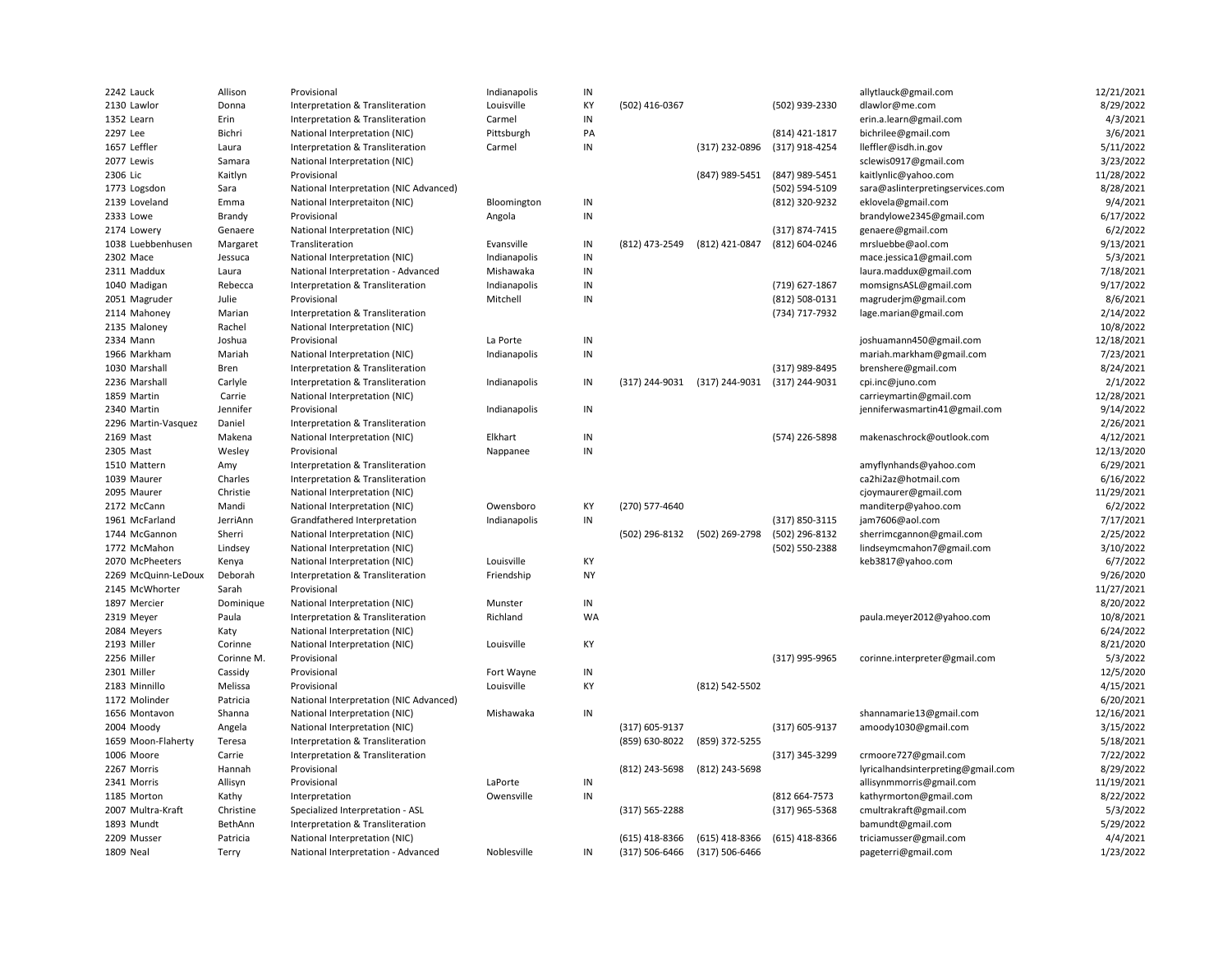| 2242 Lauck          | Allison    | Provisional                                                          | Indianapolis | IN        |                  |                |                                  | allytlauck@gmail.com               | 12/21/2021            |
|---------------------|------------|----------------------------------------------------------------------|--------------|-----------|------------------|----------------|----------------------------------|------------------------------------|-----------------------|
| 2130 Lawlor         | Donna      | Interpretation & Transliteration                                     | Louisville   | KY        | (502) 416-0367   |                | (502) 939-2330                   | dlawlor@me.com                     | 8/29/2022             |
| 1352 Learn          | Erin       | Interpretation & Transliteration                                     | Carmel       | IN        |                  |                |                                  | erin.a.learn@gmail.com             | 4/3/2021              |
| 2297 Lee            | Bichri     | National Interpretation (NIC)                                        | Pittsburgh   | PA        |                  |                | (814) 421-1817                   | bichrilee@gmail.com                | 3/6/2021              |
| 1657 Leffler        | Laura      | Interpretation & Transliteration                                     | Carmel       | IN        |                  | (317) 232-0896 | (317) 918-4254                   | lleffler@isdh.in.gov               | 5/11/2022             |
| 2077 Lewis          | Samara     | National Interpretation (NIC)                                        |              |           |                  |                |                                  | sclewis0917@gmail.com              | 3/23/2022             |
| 2306 Lic            | Kaitlyn    | Provisional                                                          |              |           |                  | (847) 989-5451 | (847) 989-5451                   | kaitlynlic@yahoo.com               | 11/28/2022            |
| 1773 Logsdon        | Sara       | National Interpretation (NIC Advanced)                               |              |           |                  |                | (502) 594-5109                   | sara@aslinterpretingservices.com   | 8/28/2021             |
| 2139 Loveland       | Emma       | National Interpretaiton (NIC)                                        | Bloomington  | IN        |                  |                | (812) 320-9232                   | eklovela@gmail.com                 | 9/4/2021              |
| 2333 Lowe           | Brandy     | Provisional                                                          | Angola       | IN        |                  |                |                                  | brandylowe2345@gmail.com           | 6/17/2022             |
| 2174 Lowery         | Genaere    | National Interpretation (NIC)                                        |              |           |                  |                | (317) 874-7415                   | genaere@gmail.com                  | 6/2/2022              |
| 1038 Luebbenhusen   | Margaret   | Transliteration                                                      | Evansville   | IN        | (812) 473-2549   | (812) 421-0847 | (812) 604-0246                   | mrsluebbe@aol.com                  | 9/13/2021             |
| 2302 Mace           | Jessuca    | National Interpretation (NIC)                                        | Indianapolis | IN        |                  |                |                                  | mace.jessica1@gmail.com            | 5/3/2021              |
| 2311 Maddux         | Laura      | National Interpretation - Advanced                                   | Mishawaka    | IN        |                  |                |                                  | laura.maddux@gmail.com             | 7/18/2021             |
| 1040 Madigan        | Rebecca    | Interpretation & Transliteration                                     | Indianapolis | IN        |                  |                | (719) 627-1867                   | momsignsASL@gmail.com              | 9/17/2022             |
| 2051 Magruder       | Julie      | Provisional                                                          | Mitchell     | IN        |                  |                | (812) 508-0131                   | magruderjm@gmail.com               | 8/6/2021              |
| 2114 Mahoney        | Marian     | Interpretation & Transliteration                                     |              |           |                  |                | (734) 717-7932                   | lage.marian@gmail.com              | 2/14/2022             |
| 2135 Maloney        | Rachel     | National Interpretation (NIC)                                        |              |           |                  |                |                                  |                                    | 10/8/2022             |
| 2334 Mann           | Joshua     | Provisional                                                          | La Porte     | IN        |                  |                |                                  | joshuamann450@gmail.com            | 12/18/2021            |
| 1966 Markham        | Mariah     |                                                                      | Indianapolis | IN        |                  |                |                                  | mariah.markham@gmail.com           | 7/23/2021             |
|                     |            | National Interpretation (NIC)                                        |              |           |                  |                |                                  |                                    |                       |
| 1030 Marshall       | Bren       | Interpretation & Transliteration<br>Interpretation & Transliteration |              | IN        | (317) 244-9031   | (317) 244-9031 | (317) 989-8495<br>(317) 244-9031 | brenshere@gmail.com                | 8/24/2021<br>2/1/2022 |
| 2236 Marshall       | Carlyle    |                                                                      | Indianapolis |           |                  |                |                                  | cpi.inc@juno.com                   |                       |
| 1859 Martin         | Carrie     | National Interpretation (NIC)                                        |              |           |                  |                |                                  | carrieymartin@gmail.com            | 12/28/2021            |
| 2340 Martin         | Jennifer   | Provisional                                                          | Indianapolis | IN        |                  |                |                                  | jenniferwasmartin41@gmail.com      | 9/14/2022             |
| 2296 Martin-Vasquez | Daniel     | Interpretation & Transliteration                                     |              |           |                  |                |                                  |                                    | 2/26/2021             |
| 2169 Mast           | Makena     | National Interpretation (NIC)                                        | Elkhart      | IN        |                  |                | (574) 226-5898                   | makenaschrock@outlook.com          | 4/12/2021             |
| 2305 Mast           | Wesley     | Provisional                                                          | Nappanee     | IN        |                  |                |                                  |                                    | 12/13/2020            |
| 1510 Mattern        | Amy        | Interpretation & Transliteration                                     |              |           |                  |                |                                  | amyflynhands@yahoo.com             | 6/29/2021             |
| 1039 Maurer         | Charles    | Interpretation & Transliteration                                     |              |           |                  |                |                                  | ca2hi2az@hotmail.com               | 6/16/2022             |
| 2095 Maurer         | Christie   | National Interpretation (NIC)                                        |              |           |                  |                |                                  | cjoymaurer@gmail.com               | 11/29/2021            |
| 2172 McCann         | Mandi      | National Interpretation (NIC)                                        | Owensboro    | KY        | (270) 577-4640   |                |                                  | manditerp@yahoo.com                | 6/2/2022              |
| 1961 McFarland      | JerriAnn   | Grandfathered Interpretation                                         | Indianapolis | IN        |                  |                | (317) 850-3115                   | jam7606@aol.com                    | 7/17/2021             |
| 1744 McGannon       | Sherri     | National Interpretation (NIC)                                        |              |           | (502) 296-8132   | (502) 269-2798 | (502) 296-8132                   | sherrimcgannon@gmail.com           | 2/25/2022             |
| 1772 McMahon        | Lindsey    | National Interpretation (NIC)                                        |              |           |                  |                | (502) 550-2388                   | lindseymcmahon7@gmail.com          | 3/10/2022             |
| 2070 McPheeters     | Kenya      | National Interpretation (NIC)                                        | Louisville   | KY        |                  |                |                                  | keb3817@yahoo.com                  | 6/7/2022              |
| 2269 McQuinn-LeDoux | Deborah    | Interpretation & Transliteration                                     | Friendship   | <b>NY</b> |                  |                |                                  |                                    | 9/26/2020             |
| 2145 McWhorter      | Sarah      | Provisional                                                          |              |           |                  |                |                                  |                                    | 11/27/2021            |
| 1897 Mercier        | Dominique  | National Interpretation (NIC)                                        | Munster      | $\sf IN$  |                  |                |                                  |                                    | 8/20/2022             |
| 2319 Meyer          | Paula      | Interpretation & Transliteration                                     | Richland     | <b>WA</b> |                  |                |                                  | paula.meyer2012@yahoo.com          | 10/8/2021             |
| 2084 Meyers         | Katy       | National Interpretation (NIC)                                        |              |           |                  |                |                                  |                                    | 6/24/2022             |
| 2193 Miller         | Corinne    | National Interpretation (NIC)                                        | Louisville   | KY        |                  |                |                                  |                                    | 8/21/2020             |
| 2256 Miller         | Corinne M. | Provisional                                                          |              |           |                  |                | (317) 995-9965                   | corinne.interpreter@gmail.com      | 5/3/2022              |
| 2301 Miller         | Cassidy    | Provisional                                                          | Fort Wayne   | IN        |                  |                |                                  |                                    | 12/5/2020             |
| 2183 Minnillo       | Melissa    | Provisional                                                          | Louisville   | KY        |                  | (812) 542-5502 |                                  |                                    | 4/15/2021             |
| 1172 Molinder       | Patricia   | National Interpretation (NIC Advanced)                               |              |           |                  |                |                                  |                                    | 6/20/2021             |
| 1656 Montavon       | Shanna     | National Interpretation (NIC)                                        | Mishawaka    | IN        |                  |                |                                  | shannamarie13@gmail.com            | 12/16/2021            |
| 2004 Moody          | Angela     | National Interpretation (NIC)                                        |              |           | (317) 605-9137   |                | (317) 605-9137                   | amoody1030@gmail.com               | 3/15/2022             |
| 1659 Moon-Flaherty  | Teresa     | Interpretation & Transliteration                                     |              |           | (859) 630-8022   | (859) 372-5255 |                                  |                                    | 5/18/2021             |
| 1006 Moore          | Carrie     | Interpretation & Transliteration                                     |              |           |                  |                | (317) 345-3299                   | crmoore727@gmail.com               | 7/22/2022             |
| 2267 Morris         | Hannah     | Provisional                                                          |              |           | (812) 243-5698   | (812) 243-5698 |                                  | lyricalhandsinterpreting@gmail.com | 8/29/2022             |
| 2341 Morris         | Allisyn    | Provisional                                                          | LaPorte      | IN        |                  |                |                                  | allisynmmorris@gmail.com           | 11/19/2021            |
| 1185 Morton         | Kathy      | Interpretation                                                       | Owensville   | IN        |                  |                | (812 664-7573                    | kathyrmorton@gmail.com             | 8/22/2022             |
| 2007 Multra-Kraft   | Christine  | Specialized Interpretation - ASL                                     |              |           | (317) 565-2288   |                | (317) 965-5368                   | cmultrakraft@gmail.com             | 5/3/2022              |
| 1893 Mundt          | BethAnn    | Interpretation & Transliteration                                     |              |           |                  |                |                                  | bamundt@gmail.com                  | 5/29/2022             |
| 2209 Musser         | Patricia   | National Interpretation (NIC)                                        |              |           | $(615)$ 418-8366 | (615) 418-8366 | (615) 418-8366                   | triciamusser@gmail.com             | 4/4/2021              |
| 1809 Neal           | Terry      | National Interpretation - Advanced                                   | Noblesville  | $\sf IN$  | (317) 506-6466   | (317) 506-6466 |                                  | pageterri@gmail.com                | 1/23/2022             |
|                     |            |                                                                      |              |           |                  |                |                                  |                                    |                       |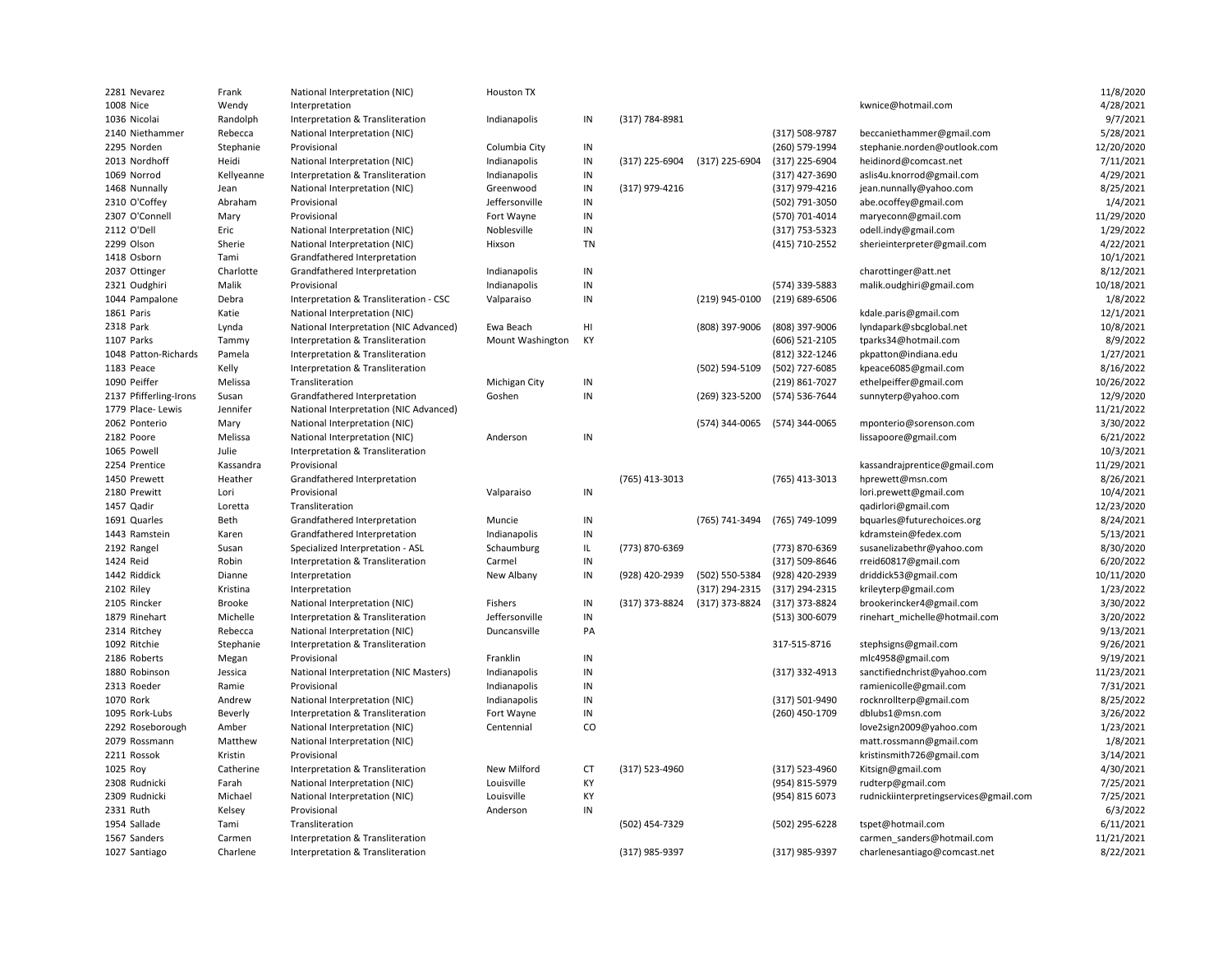| 2281 Nevarez           | Frank         | National Interpretation (NIC)          | <b>Houston TX</b>  |               |                |                |                |                                        | 11/8/2020  |
|------------------------|---------------|----------------------------------------|--------------------|---------------|----------------|----------------|----------------|----------------------------------------|------------|
| 1008 Nice              | Wendy         | Interpretation                         |                    |               |                |                |                | kwnice@hotmail.com                     | 4/28/2021  |
| 1036 Nicolai           | Randolph      | Interpretation & Transliteration       | Indianapolis       | IN            | (317) 784-8981 |                |                |                                        | 9/7/2021   |
| 2140 Niethammer        | Rebecca       | National Interpretation (NIC)          |                    |               |                |                | (317) 508-9787 | beccaniethammer@gmail.com              | 5/28/2021  |
| 2295 Norden            | Stephanie     | Provisional                            | Columbia City      | IN            |                |                | (260) 579-1994 | stephanie.norden@outlook.com           | 12/20/2020 |
| 2013 Nordhoff          | Heidi         | National Interpretation (NIC)          | Indianapolis       | $\sf IN$      | (317) 225-6904 | (317) 225-6904 | (317) 225-6904 | heidinord@comcast.net                  | 7/11/2021  |
| 1069 Norrod            | Kellyeanne    | Interpretation & Transliteration       | Indianapolis       | IN            |                |                | (317) 427-3690 | aslis4u.knorrod@gmail.com              | 4/29/2021  |
| 1468 Nunnally          | Jean          | National Interpretation (NIC)          | Greenwood          | IN            | (317) 979-4216 |                | (317) 979-4216 | jean.nunnally@yahoo.com                | 8/25/2021  |
| 2310 O'Coffey          | Abraham       | Provisional                            | Jeffersonville     | $\sf IN$      |                |                | (502) 791-3050 | abe.ocoffey@gmail.com                  | 1/4/2021   |
| 2307 O'Connell         | Mary          | Provisional                            | Fort Wayne         | $\mathsf{IN}$ |                |                | (570) 701-4014 | maryeconn@gmail.com                    | 11/29/2020 |
| 2112 O'Dell            | Eric          | National Interpretation (NIC)          | Noblesville        | IN            |                |                | (317) 753-5323 | odell.indy@gmail.com                   | 1/29/2022  |
| 2299 Olson             | Sherie        | National Interpretation (NIC)          | Hixson             | <b>TN</b>     |                |                | (415) 710-2552 | sherieinterpreter@gmail.com            | 4/22/2021  |
| 1418 Osborn            | Tami          | Grandfathered Interpretation           |                    |               |                |                |                |                                        | 10/1/2021  |
| 2037 Ottinger          | Charlotte     | Grandfathered Interpretation           | Indianapolis       | IN            |                |                |                | charottinger@att.net                   | 8/12/2021  |
| 2321 Oudghiri          | Malik         | Provisional                            | Indianapolis       | IN            |                |                | (574) 339-5883 | malik.oudghiri@gmail.com               | 10/18/2021 |
| 1044 Pampalone         | Debra         | Interpretation & Transliteration - CSC | Valparaiso         | IN            |                | (219) 945-0100 | (219) 689-6506 |                                        | 1/8/2022   |
| 1861 Paris             |               |                                        |                    |               |                |                |                |                                        | 12/1/2021  |
| 2318 Park              | Katie         | National Interpretation (NIC)          | Ewa Beach          | HI            |                |                | (808) 397-9006 | kdale.paris@gmail.com                  | 10/8/2021  |
|                        | Lynda         | National Interpretation (NIC Advanced) |                    |               |                | (808) 397-9006 |                | lyndapark@sbcglobal.net                |            |
| 1107 Parks             | Tammy         | Interpretation & Transliteration       | Mount Washington   | KY            |                |                | (606) 521-2105 | tparks34@hotmail.com                   | 8/9/2022   |
| 1048 Patton-Richards   | Pamela        | Interpretation & Transliteration       |                    |               |                |                | (812) 322-1246 | pkpatton@indiana.edu                   | 1/27/2021  |
| 1183 Peace             | Kelly         | Interpretation & Transliteration       |                    |               |                | (502) 594-5109 | (502) 727-6085 | kpeace6085@gmail.com                   | 8/16/2022  |
| 1090 Peiffer           | Melissa       | Transliteration                        | Michigan City      | IN            |                |                | (219) 861-7027 | ethelpeiffer@gmail.com                 | 10/26/2022 |
| 2137 Pfifferling-Irons | Susan         | Grandfathered Interpretation           | Goshen             | $\sf IN$      |                | (269) 323-5200 | (574) 536-7644 | sunnyterp@yahoo.com                    | 12/9/2020  |
| 1779 Place- Lewis      | Jennifer      | National Interpretation (NIC Advanced) |                    |               |                |                |                |                                        | 11/21/2022 |
| 2062 Ponterio          | Mary          | National Interpretation (NIC)          |                    |               |                | (574) 344-0065 | (574) 344-0065 | mponterio@sorenson.com                 | 3/30/2022  |
| 2182 Poore             | Melissa       | National Interpretation (NIC)          | Anderson           | $\sf IN$      |                |                |                | lissapoore@gmail.com                   | 6/21/2022  |
| 1065 Powell            | Julie         | Interpretation & Transliteration       |                    |               |                |                |                |                                        | 10/3/2021  |
| 2254 Prentice          | Kassandra     | Provisional                            |                    |               |                |                |                | kassandrajprentice@gmail.com           | 11/29/2021 |
| 1450 Prewett           | Heather       | Grandfathered Interpretation           |                    |               | (765) 413-3013 |                | (765) 413-3013 | hprewett@msn.com                       | 8/26/2021  |
| 2180 Prewitt           | Lori          | Provisional                            | Valparaiso         | IN            |                |                |                | lori.prewett@gmail.com                 | 10/4/2021  |
| 1457 Qadir             | Loretta       | Transliteration                        |                    |               |                |                |                | qadirlori@gmail.com                    | 12/23/2020 |
| 1691 Quarles           | Beth          | Grandfathered Interpretation           | Muncie             | IN            |                | (765) 741-3494 | (765) 749-1099 | bquarles@futurechoices.org             | 8/24/2021  |
| 1443 Ramstein          | Karen         | Grandfathered Interpretation           | Indianapolis       | IN            |                |                |                | kdramstein@fedex.com                   | 5/13/2021  |
| 2192 Rangel            | Susan         | Specialized Interpretation - ASL       | Schaumburg         | IL            | (773) 870-6369 |                | (773) 870-6369 | susanelizabethr@yahoo.com              | 8/30/2020  |
| 1424 Reid              | Robin         | Interpretation & Transliteration       | Carmel             | IN            |                |                | (317) 509-8646 | rreid60817@gmail.com                   | 6/20/2022  |
| 1442 Riddick           | Dianne        | Interpretation                         | New Albany         | IN            | (928) 420-2939 | (502) 550-5384 | (928) 420-2939 | driddick53@gmail.com                   | 10/11/2020 |
| 2102 Riley             | Kristina      | Interpretation                         |                    |               |                | (317) 294-2315 | (317) 294-2315 | krileyterp@gmail.com                   | 1/23/2022  |
| 2105 Rincker           | <b>Brooke</b> | National Interpretation (NIC)          | Fishers            | $\sf IN$      | (317) 373-8824 | (317) 373-8824 | (317) 373-8824 | brookerincker4@gmail.com               | 3/30/2022  |
| 1879 Rinehart          | Michelle      | Interpretation & Transliteration       | Jeffersonville     | IN            |                |                | (513) 300-6079 | rinehart michelle@hotmail.com          | 3/20/2022  |
| 2314 Ritchey           | Rebecca       | National Interpretation (NIC)          | Duncansville       | PA            |                |                |                |                                        | 9/13/2021  |
| 1092 Ritchie           | Stephanie     | Interpretation & Transliteration       |                    |               |                |                | 317-515-8716   | stephsigns@gmail.com                   | 9/26/2021  |
| 2186 Roberts           | Megan         | Provisional                            | Franklin           | IN            |                |                |                | mlc4958@gmail.com                      | 9/19/2021  |
| 1880 Robinson          | Jessica       | National Interpretation (NIC Masters)  | Indianapolis       | ${\sf IN}$    |                |                | (317) 332-4913 | sanctifiednchrist@yahoo.com            | 11/23/2021 |
| 2313 Roeder            | Ramie         | Provisional                            | Indianapolis       | IN            |                |                |                | ramienicolle@gmail.com                 | 7/31/2021  |
| 1070 Rork              | Andrew        | National Interpretation (NIC)          | Indianapolis       | IN            |                |                | (317) 501-9490 | rocknrollterp@gmail.com                | 8/25/2022  |
| 1095 Rork-Lubs         | Beverly       | Interpretation & Transliteration       | Fort Wayne         | IN            |                |                | (260) 450-1709 | dblubs1@msn.com                        | 3/26/2022  |
| 2292 Roseborough       | Amber         | National Interpretation (NIC)          | Centennial         | CO            |                |                |                | love2sign2009@yahoo.com                | 1/23/2021  |
| 2079 Rossmann          | Matthew       | National Interpretation (NIC)          |                    |               |                |                |                | matt.rossmann@gmail.com                | 1/8/2021   |
| 2211 Rossok            | Kristin       | Provisional                            |                    |               |                |                |                | kristinsmith726@gmail.com              | 3/14/2021  |
| 1025 Roy               | Catherine     | Interpretation & Transliteration       | <b>New Milford</b> | <b>CT</b>     | (317) 523-4960 |                | (317) 523-4960 | Kitsign@gmail.com                      | 4/30/2021  |
| 2308 Rudnicki          | Farah         | National Interpretation (NIC)          | Louisville         | KY            |                |                | (954) 815-5979 | rudterp@gmail.com                      | 7/25/2021  |
| 2309 Rudnicki          | Michael       | National Interpretation (NIC)          | Louisville         | КY            |                |                | (954) 815 6073 | rudnickiinterpretingservices@gmail.com | 7/25/2021  |
| 2331 Ruth              | Kelsey        | Provisional                            | Anderson           | IN            |                |                |                |                                        | 6/3/2022   |
| 1954 Sallade           | Tami          | Transliteration                        |                    |               | (502) 454-7329 |                | (502) 295-6228 | tspet@hotmail.com                      | 6/11/2021  |
| 1567 Sanders           | Carmen        | Interpretation & Transliteration       |                    |               |                |                |                | carmen sanders@hotmail.com             | 11/21/2021 |
| 1027 Santiago          | Charlene      | Interpretation & Transliteration       |                    |               | (317) 985-9397 |                | (317) 985-9397 | charlenesantiago@comcast.net           | 8/22/2021  |
|                        |               |                                        |                    |               |                |                |                |                                        |            |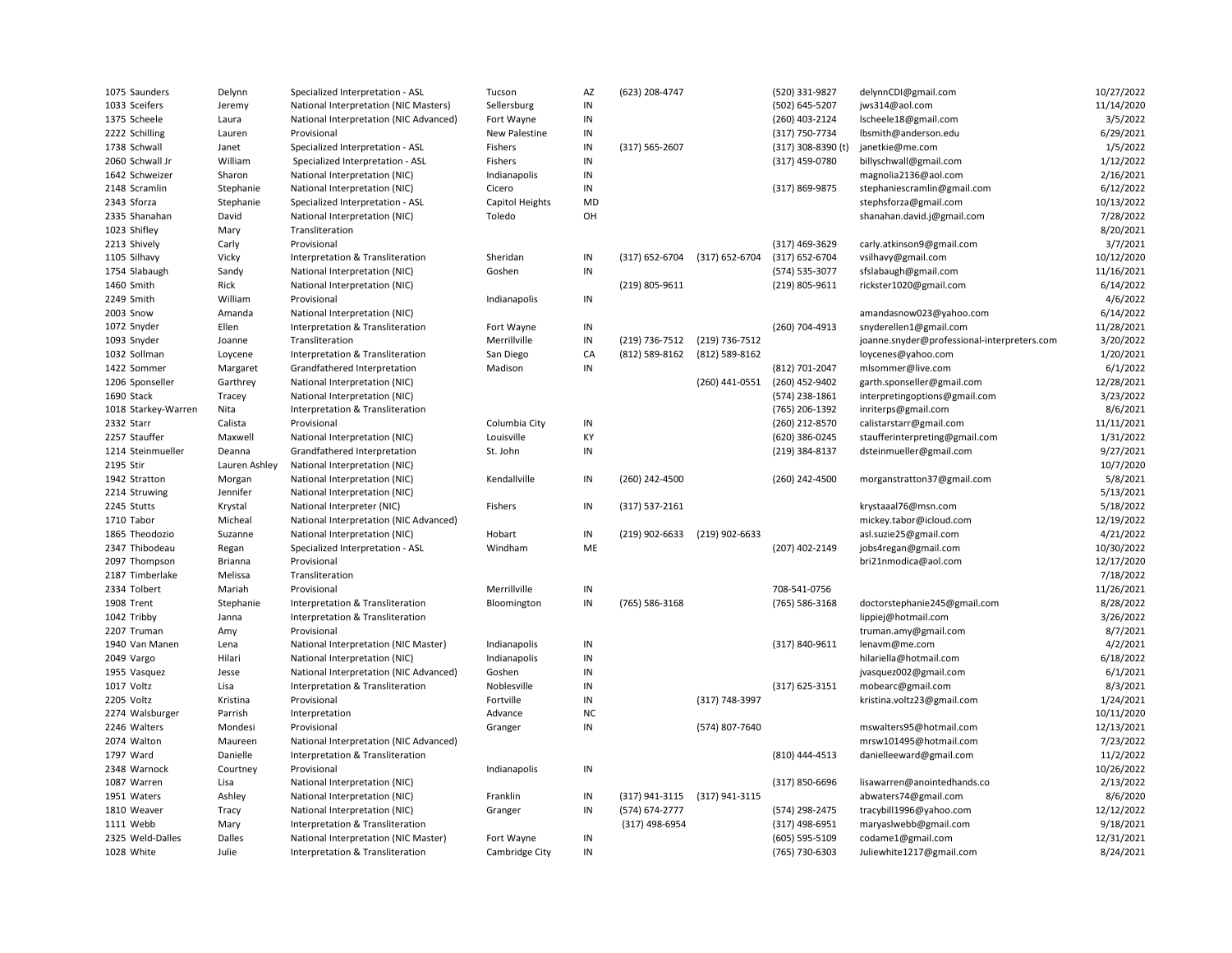| 1075 Saunders       | Delynn        | Specialized Interpretation - ASL       | Tucson          | AZ         | (623) 208-4747     |                | (520) 331-9827     | delynnCDI@gmail.com                         | 10/27/2022 |
|---------------------|---------------|----------------------------------------|-----------------|------------|--------------------|----------------|--------------------|---------------------------------------------|------------|
| 1033 Sceifers       | Jeremy        | National Interpretation (NIC Masters)  | Sellersburg     | IN         |                    |                | (502) 645-5207     | jws314@aol.com                              | 11/14/2020 |
| 1375 Scheele        | Laura         | National Interpretation (NIC Advanced) | Fort Wayne      | IN         |                    |                | (260) 403-2124     | Ischeele18@gmail.com                        | 3/5/2022   |
| 2222 Schilling      | Lauren        | Provisional                            | New Palestine   | IN         |                    |                | (317) 750-7734     | lbsmith@anderson.edu                        | 6/29/2021  |
| 1738 Schwall        | Janet         | Specialized Interpretation - ASL       | Fishers         | IN         | $(317) 565 - 2607$ |                | (317) 308-8390 (t) | janetkie@me.com                             | 1/5/2022   |
| 2060 Schwall Jr     | William       | Specialized Interpretation - ASL       | Fishers         | $\sf IN$   |                    |                | (317) 459-0780     | billyschwall@gmail.com                      | 1/12/2022  |
| 1642 Schweizer      | Sharon        | National Interpretation (NIC)          | Indianapolis    | ${\sf IN}$ |                    |                |                    | magnolia2136@aol.com                        | 2/16/2021  |
| 2148 Scramlin       | Stephanie     | National Interpretation (NIC)          | Cicero          | IN         |                    |                | (317) 869-9875     | stephaniescramlin@gmail.com                 | 6/12/2022  |
| 2343 Sforza         | Stephanie     | Specialized Interpretation - ASL       | Capitol Heights | MD         |                    |                |                    | stephsforza@gmail.com                       | 10/13/2022 |
| 2335 Shanahan       | David         | National Interpretation (NIC)          | Toledo          | OH         |                    |                |                    | shanahan.david.j@gmail.com                  | 7/28/2022  |
| 1023 Shifley        | Mary          | Transliteration                        |                 |            |                    |                |                    |                                             | 8/20/2021  |
| 2213 Shively        | Carly         | Provisional                            |                 |            |                    |                | (317) 469-3629     | carly.atkinson9@gmail.com                   | 3/7/2021   |
| 1105 Silhavy        | Vicky         | Interpretation & Transliteration       | Sheridan        | ${\sf IN}$ | (317) 652-6704     | (317) 652-6704 | (317) 652-6704     | vsilhavy@gmail.com                          | 10/12/2020 |
| 1754 Slabaugh       | Sandy         | National Interpretation (NIC)          | Goshen          | IN         |                    |                | (574) 535-3077     | sfslabaugh@gmail.com                        | 11/16/2021 |
| 1460 Smith          | Rick          | National Interpretation (NIC)          |                 |            | (219) 805-9611     |                | (219) 805-9611     | rickster1020@gmail.com                      | 6/14/2022  |
| 2249 Smith          | William       | Provisional                            | Indianapolis    | ${\sf IN}$ |                    |                |                    |                                             | 4/6/2022   |
| 2003 Snow           | Amanda        | National Interpretation (NIC)          |                 |            |                    |                |                    | amandasnow023@yahoo.com                     | 6/14/2022  |
| 1072 Snyder         | Ellen         | Interpretation & Transliteration       | Fort Wayne      | IN         |                    |                | (260) 704-4913     | snyderellen1@gmail.com                      | 11/28/2021 |
| 1093 Snyder         | Joanne        | Transliteration                        | Merrillville    | IN         | (219) 736-7512     | (219) 736-7512 |                    | joanne.snyder@professional-interpreters.com | 3/20/2022  |
| 1032 Sollman        | Loycene       | Interpretation & Transliteration       | San Diego       | CA         | (812) 589-8162     | (812) 589-8162 |                    | loycenes@yahoo.com                          | 1/20/2021  |
| 1422 Sommer         | Margaret      | Grandfathered Interpretation           | Madison         | $\sf IN$   |                    |                | (812) 701-2047     | mlsommer@live.com                           | 6/1/2022   |
| 1206 Sponseller     | Garthrey      | National Interpretation (NIC)          |                 |            |                    | (260) 441-0551 | (260) 452-9402     | garth.sponseller@gmail.com                  | 12/28/2021 |
| 1690 Stack          | Tracey        | National Interpretation (NIC)          |                 |            |                    |                | (574) 238-1861     | interpretingoptions@gmail.com               | 3/23/2022  |
| 1018 Starkey-Warren | Nita          | Interpretation & Transliteration       |                 |            |                    |                | (765) 206-1392     | inriterps@gmail.com                         | 8/6/2021   |
| 2332 Starr          | Calista       | Provisional                            | Columbia City   | IN         |                    |                | (260) 212-8570     | calistarstarr@gmail.com                     | 11/11/2021 |
| 2257 Stauffer       | Maxwell       | National Interpretation (NIC)          | Louisville      | KY         |                    |                | (620) 386-0245     | staufferinterpreting@gmail.com              | 1/31/2022  |
| 1214 Steinmueller   | Deanna        | Grandfathered Interpretation           | St. John        | $\sf IN$   |                    |                | (219) 384-8137     | dsteinmueller@gmail.com                     | 9/27/2021  |
| 2195 Stir           | Lauren Ashley | National Interpretation (NIC)          |                 |            |                    |                |                    |                                             | 10/7/2020  |
| 1942 Stratton       | Morgan        | National Interpretation (NIC)          | Kendallville    | IN         | (260) 242-4500     |                | (260) 242-4500     | morganstratton37@gmail.com                  | 5/8/2021   |
| 2214 Struwing       | Jennifer      | National Interpretation (NIC)          |                 |            |                    |                |                    |                                             | 5/13/2021  |
| 2245 Stutts         | Krystal       | National Interpreter (NIC)             | Fishers         | IN         | $(317) 537 - 2161$ |                |                    | krystaaal76@msn.com                         | 5/18/2022  |
| 1710 Tabor          | Micheal       | National Interpretation (NIC Advanced) |                 |            |                    |                |                    | mickey.tabor@icloud.com                     | 12/19/2022 |
| 1865 Theodozio      | Suzanne       | National Interpretation (NIC)          | Hobart          | ${\sf IN}$ | (219) 902-6633     | (219) 902-6633 |                    | asl.suzie25@gmail.com                       | 4/21/2022  |
| 2347 Thibodeau      | Regan         | Specialized Interpretation - ASL       | Windham         | ME         |                    |                | (207) 402-2149     | jobs4regan@gmail.com                        | 10/30/2022 |
| 2097 Thompson       | Brianna       | Provisional                            |                 |            |                    |                |                    | bri21nmodica@aol.com                        | 12/17/2020 |
| 2187 Timberlake     | Melissa       | Transliteration                        |                 |            |                    |                |                    |                                             | 7/18/2022  |
| 2334 Tolbert        | Mariah        | Provisional                            | Merrillville    | IN         |                    |                | 708-541-0756       |                                             | 11/26/2021 |
| 1908 Trent          | Stephanie     | Interpretation & Transliteration       | Bloomington     | ${\sf IN}$ | (765) 586-3168     |                | (765) 586-3168     | doctorstephanie245@gmail.com                | 8/28/2022  |
| 1042 Tribby         | Janna         | Interpretation & Transliteration       |                 |            |                    |                |                    | lippiej@hotmail.com                         | 3/26/2022  |
| 2207 Truman         | Amy           | Provisional                            |                 |            |                    |                |                    | truman.amy@gmail.com                        | 8/7/2021   |
| 1940 Van Manen      | Lena          | National Interpretation (NIC Master)   | Indianapolis    | IN         |                    |                | (317) 840-9611     | lenavm@me.com                               | 4/2/2021   |
| 2049 Vargo          | Hilari        | National Interpretation (NIC)          | Indianapolis    | IN         |                    |                |                    | hilariella@hotmail.com                      | 6/18/2022  |
| 1955 Vasquez        | Jesse         | National Interpretation (NIC Advanced) | Goshen          | IN         |                    |                |                    | jvasquez002@gmail.com                       | 6/1/2021   |
| 1017 Voltz          | Lisa          | Interpretation & Transliteration       | Noblesville     | IN         |                    |                | (317) 625-3151     | mobearc@gmail.com                           | 8/3/2021   |
| 2205 Voltz          | Kristina      | Provisional                            | Fortville       | IN         |                    | (317) 748-3997 |                    | kristina.voltz23@gmail.com                  | 1/24/2021  |
| 2274 Walsburger     | Parrish       | Interpretation                         | Advance         | <b>NC</b>  |                    |                |                    |                                             | 10/11/2020 |
| 2246 Walters        | Mondesi       | Provisional                            | Granger         | IN         |                    | (574) 807-7640 |                    | mswalters95@hotmail.com                     | 12/13/2021 |
| 2074 Walton         | Maureen       | National Interpretation (NIC Advanced) |                 |            |                    |                |                    | mrsw101495@hotmail.com                      | 7/23/2022  |
| 1797 Ward           | Danielle      | Interpretation & Transliteration       |                 |            |                    |                | (810) 444-4513     | danielleeward@gmail.com                     | 11/2/2022  |
| 2348 Warnock        | Courtney      | Provisional                            | Indianapolis    | IN         |                    |                |                    |                                             | 10/26/2022 |
| 1087 Warren         | Lisa          | National Interpretation (NIC)          |                 |            |                    |                | (317) 850-6696     | lisawarren@anointedhands.co                 | 2/13/2022  |
| 1951 Waters         | Ashley        | National Interpretation (NIC)          | Franklin        | IN         | (317) 941-3115     | (317) 941-3115 |                    | abwaters74@gmail.com                        | 8/6/2020   |
| 1810 Weaver         | Tracy         | National Interpretation (NIC)          | Granger         | IN         | (574) 674-2777     |                | (574) 298-2475     | tracybill1996@yahoo.com                     | 12/12/2022 |
| 1111 Webb           | Mary          | Interpretation & Transliteration       |                 |            | (317) 498-6954     |                | $(317)$ 498-6951   | maryaslwebb@gmail.com                       | 9/18/2021  |
| 2325 Weld-Dalles    | Dalles        | National Interpretation (NIC Master)   | Fort Wayne      | ${\sf IN}$ |                    |                | (605) 595-5109     | codame1@gmail.com                           | 12/31/2021 |
| 1028 White          | Julie         | Interpretation & Transliteration       | Cambridge City  | $\sf IN$   |                    |                | (765) 730-6303     | Juliewhite1217@gmail.com                    | 8/24/2021  |
|                     |               |                                        |                 |            |                    |                |                    |                                             |            |